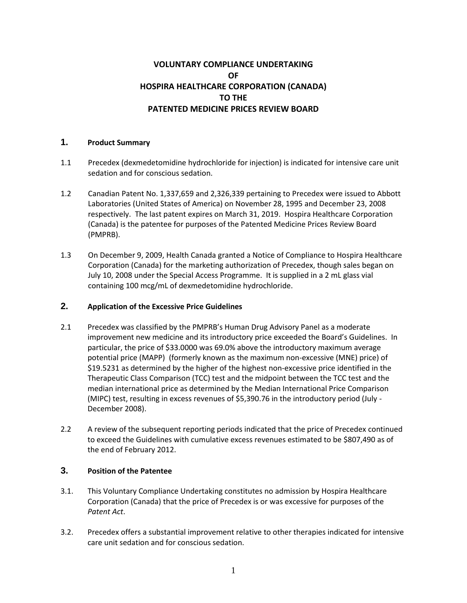# **VOLUNTARY COMPLIANCE UNDERTAKING OF HOSPIRA HEALTHCARE CORPORATION (CANADA) TO THE PATENTED MEDICINE PRICES REVIEW BOARD**

#### **1. Product Summary**

- 1.1 Precedex (dexmedetomidine hydrochloride for injection) is indicated for intensive care unit sedation and for conscious sedation.
- 1.2 Canadian Patent No. 1,337,659 and 2,326,339 pertaining to Precedex were issued to Abbott Laboratories (United States of America) on November 28, 1995 and December 23, 2008 respectively. The last patent expires on March 31, 2019. Hospira Healthcare Corporation (Canada) is the patentee for purposes of the Patented Medicine Prices Review Board (PMPRB).
- 1.3 On December 9, 2009, Health Canada granted a Notice of Compliance to Hospira Healthcare Corporation (Canada) for the marketing authorization of Precedex, though sales began on July 10, 2008 under the Special Access Programme. It is supplied in a 2 mL glass vial containing 100 mcg/mL of dexmedetomidine hydrochloride.

### **2. Application of the Excessive Price Guidelines**

- 2.1 Precedex was classified by the PMPRB's Human Drug Advisory Panel as a moderate improvement new medicine and its introductory price exceeded the Board's Guidelines. In particular, the price of \$33.0000 was 69.0% above the introductory maximum average potential price (MAPP) (formerly known as the maximum non-excessive (MNE) price) of \$19.5231 as determined by the higher of the highest non-excessive price identified in the Therapeutic Class Comparison (TCC) test and the midpoint between the TCC test and the median international price as determined by the Median International Price Comparison (MIPC) test, resulting in excess revenues of \$5,390.76 in the introductory period (July - December 2008).
- 2.2 A review of the subsequent reporting periods indicated that the price of Precedex continued to exceed the Guidelines with cumulative excess revenues estimated to be \$807,490 as of the end of February 2012.

## **3. Position of the Patentee**

- 3.1. This Voluntary Compliance Undertaking constitutes no admission by Hospira Healthcare Corporation (Canada) that the price of Precedex is or was excessive for purposes of the *Patent Act*.
- 3.2. Precedex offers a substantial improvement relative to other therapies indicated for intensive care unit sedation and for conscious sedation.